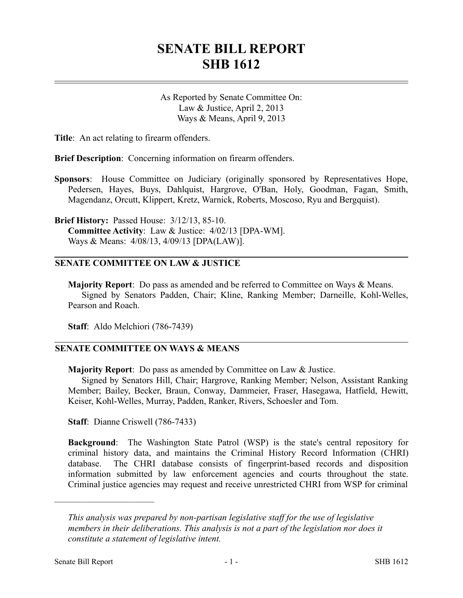## **SENATE BILL REPORT SHB 1612**

As Reported by Senate Committee On: Law & Justice, April 2, 2013 Ways & Means, April 9, 2013

**Title**: An act relating to firearm offenders.

**Brief Description**: Concerning information on firearm offenders.

**Sponsors**: House Committee on Judiciary (originally sponsored by Representatives Hope, Pedersen, Hayes, Buys, Dahlquist, Hargrove, O'Ban, Holy, Goodman, Fagan, Smith, Magendanz, Orcutt, Klippert, Kretz, Warnick, Roberts, Moscoso, Ryu and Bergquist).

**Brief History:** Passed House: 3/12/13, 85-10. **Committee Activity**: Law & Justice: 4/02/13 [DPA-WM]. Ways & Means: 4/08/13, 4/09/13 [DPA(LAW)].

## **SENATE COMMITTEE ON LAW & JUSTICE**

**Majority Report**: Do pass as amended and be referred to Committee on Ways & Means. Signed by Senators Padden, Chair; Kline, Ranking Member; Darneille, Kohl-Welles, Pearson and Roach.

**Staff**: Aldo Melchiori (786-7439)

## **SENATE COMMITTEE ON WAYS & MEANS**

**Majority Report**: Do pass as amended by Committee on Law & Justice.

Signed by Senators Hill, Chair; Hargrove, Ranking Member; Nelson, Assistant Ranking Member; Bailey, Becker, Braun, Conway, Dammeier, Fraser, Hasegawa, Hatfield, Hewitt, Keiser, Kohl-Welles, Murray, Padden, Ranker, Rivers, Schoesler and Tom.

**Staff**: Dianne Criswell (786-7433)

**Background**: The Washington State Patrol (WSP) is the state's central repository for criminal history data, and maintains the Criminal History Record Information (CHRI) database. The CHRI database consists of fingerprint-based records and disposition information submitted by law enforcement agencies and courts throughout the state. Criminal justice agencies may request and receive unrestricted CHRI from WSP for criminal

––––––––––––––––––––––

*This analysis was prepared by non-partisan legislative staff for the use of legislative members in their deliberations. This analysis is not a part of the legislation nor does it constitute a statement of legislative intent.*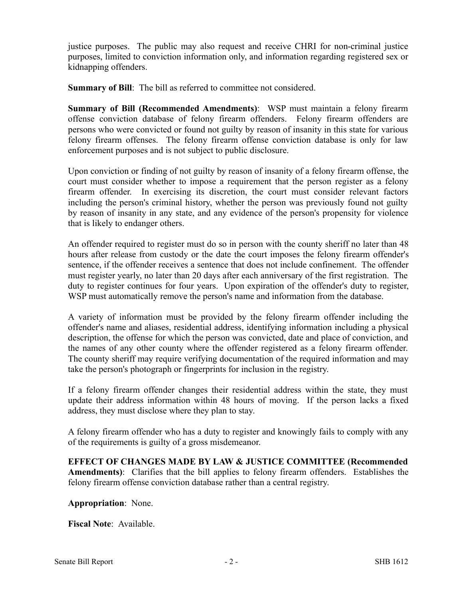justice purposes. The public may also request and receive CHRI for non-criminal justice purposes, limited to conviction information only, and information regarding registered sex or kidnapping offenders.

**Summary of Bill**: The bill as referred to committee not considered.

**Summary of Bill (Recommended Amendments)**: WSP must maintain a felony firearm offense conviction database of felony firearm offenders. Felony firearm offenders are persons who were convicted or found not guilty by reason of insanity in this state for various felony firearm offenses. The felony firearm offense conviction database is only for law enforcement purposes and is not subject to public disclosure.

Upon conviction or finding of not guilty by reason of insanity of a felony firearm offense, the court must consider whether to impose a requirement that the person register as a felony firearm offender. In exercising its discretion, the court must consider relevant factors including the person's criminal history, whether the person was previously found not guilty by reason of insanity in any state, and any evidence of the person's propensity for violence that is likely to endanger others.

An offender required to register must do so in person with the county sheriff no later than 48 hours after release from custody or the date the court imposes the felony firearm offender's sentence, if the offender receives a sentence that does not include confinement. The offender must register yearly, no later than 20 days after each anniversary of the first registration. The duty to register continues for four years. Upon expiration of the offender's duty to register, WSP must automatically remove the person's name and information from the database.

A variety of information must be provided by the felony firearm offender including the offender's name and aliases, residential address, identifying information including a physical description, the offense for which the person was convicted, date and place of conviction, and the names of any other county where the offender registered as a felony firearm offender. The county sheriff may require verifying documentation of the required information and may take the person's photograph or fingerprints for inclusion in the registry.

If a felony firearm offender changes their residential address within the state, they must update their address information within 48 hours of moving. If the person lacks a fixed address, they must disclose where they plan to stay.

A felony firearm offender who has a duty to register and knowingly fails to comply with any of the requirements is guilty of a gross misdemeanor.

**EFFECT OF CHANGES MADE BY LAW & JUSTICE COMMITTEE (Recommended Amendments)**: Clarifies that the bill applies to felony firearm offenders. Establishes the felony firearm offense conviction database rather than a central registry.

**Appropriation**: None.

**Fiscal Note**: Available.